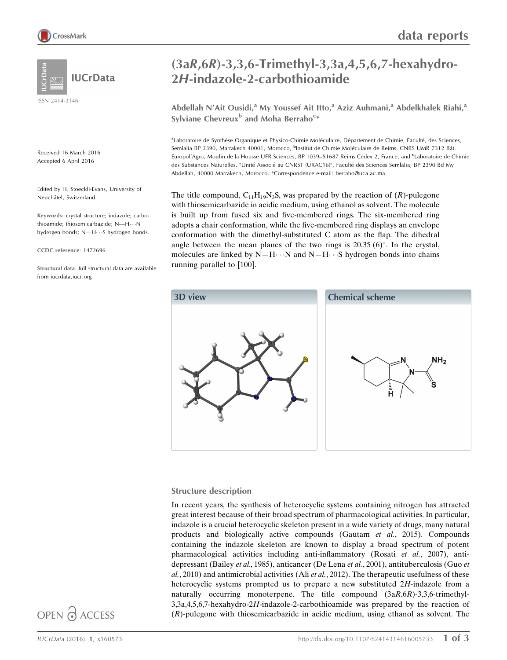

ISSN 2414-3146

Received 16 March 2016 Accepted 6 April 2016

Edited by H. Stoeckli-Evans, University of Neuchâtel, Switzerland

Keywords: crystal structure; indazole; carbothioamide; thiosemicarbazide;  $N$ —H $\cdots$ N hydrogen bonds; N-H...S hydrogen bonds.

CCDC reference: 1472696

Structural data: full structural data are available from iucrdata.iucr.org

# (3aR,6R)-3,3,6-Trimethyl-3,3a,4,5,6,7-hexahydro-2H-indazole-2-carbothioamide

Abdellah N'Ait Ousidi,<sup>a</sup> My Youssef Ait Itto,<sup>a</sup> Aziz Auhmani,<sup>a</sup> Abdelkhalek Riahi,<sup>a</sup> Sylviane Chevreux<sup>b</sup> and Moha Berraho<sup>c\*</sup>

aLaboratoire de Synthèse Organique et Physico-Chimie Moléculaire, Département de Chimie, Faculté, des Sciences, Semlalia BP 2390, Marrakech 40001, Morocco, <sup>b</sup>Institut de Chimie Moléculaire de Reims, CNRS UMR 7312 Bât. Europol'Agro, Moulin de la Housse UFR Sciences, BP 1039-51687 Reims Cédex 2, France, and <sup>c</sup>Laboratoire de Chimie des Substances Naturelles, "Unité Associé au CNRST (URAC16)", Faculté des Sciences Semlalia, BP 2390 Bd My Abdellah, 40000 Marrakech, Morocco. \*Correspondence e-mail: berraho@uca.ac.ma

The title compound,  $C_{11}H_{19}N_3S$ , was prepared by the reaction of  $(R)$ -pulegone with thiosemicarbazide in acidic medium, using ethanol as solvent. The molecule is built up from fused six and five-membered rings. The six-membered ring adopts a chair conformation, while the five-membered ring displays an envelope conformation with the dimethyl-substituted C atom as the flap. The dihedral angle between the mean planes of the two rings is  $20.35(6)^\circ$ . In the crystal, molecules are linked by  $N-H\cdots N$  and  $N-H\cdots S$  hydrogen bonds into chains running parallel to [100].



#### Structure description

In recent years, the synthesis of heterocyclic systems containing nitrogen has attracted great interest because of their broad spectrum of pharmacological activities. In particular, indazole is a crucial heterocyclic skeleton present in a wide variety of drugs, many natural products and biologically active compounds (Gautam et al., 2015). Compounds containing the indazole skeleton are known to display a broad spectrum of potent pharmacological activities including anti-inflammatory (Rosati et al., 2007), antidepressant (Bailey et al., 1985), anticancer (De Lena et al., 2001), antituberculosis (Guo et  $al., 2010)$  and antimicrobial activities (Ali et  $al., 2012)$ ). The therapeutic usefulness of these heterocyclic systems prompted us to prepare a new substituted 2H-indazole from a naturally occurring monoterpene. The title compound (3aR,6R)-3,3,6-trimethyl-3,3a,4,5,6,7-hexahydro-2H-indazole-2-carbothioamide was prepared by the reaction of (R)-pulegone with thiosemicarbazide in acidic medium, using ethanol as solvent. The

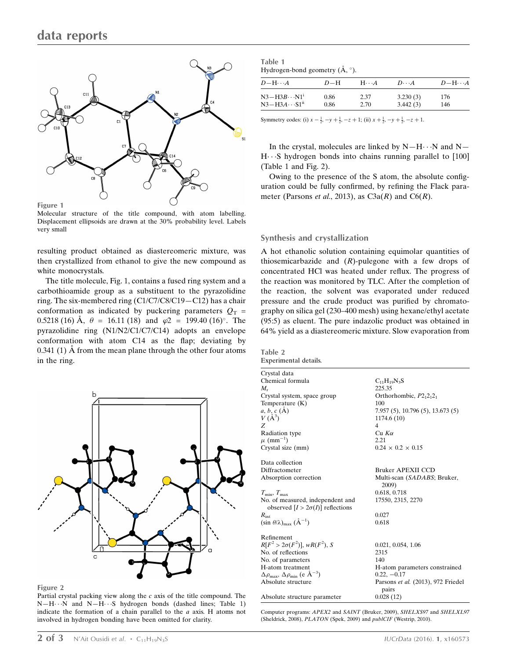

Figure 1

Molecular structure of the title compound, with atom labelling. Displacement ellipsoids are drawn at the 30% probability level. Labels very small

resulting product obtained as diastereomeric mixture, was then crystallized from ethanol to give the new compound as white monocrystals.

The title molecule, Fig. 1, contains a fused ring system and a carbothioamide group as a substituent to the pyrazolidine ring. The six-membered ring (C1/C7/C8/C19—C12) has a chair conformation as indicated by puckering parameters  $Q_T$  = 0.5218 (16) Å,  $\theta = 16.11$  (18) and  $\varphi$ 2 = 199.40 (16)°. The pyrazolidine ring (N1/N2/C1/C7/C14) adopts an envelope conformation with atom C14 as the flap; deviating by 0.341 (1)  $\AA$  from the mean plane through the other four atoms in the ring.



Figure 2

Partial crystal packing view along the  $c$  axis of the title compound. The  $N-H\cdots N$  and  $N-H\cdots S$  hydrogen bonds (dashed lines; Table 1) indicate the formation of a chain parallel to the  $a$  axis. H atoms not involved in hydrogen bonding have been omitted for clarity.

| Table 1                                            |  |
|----------------------------------------------------|--|
| Hydrogen-bond geometry $(\mathring{A}, \degree)$ . |  |

| $D - H \cdots A$          | $D=H$ | $H\cdots A$ | $D\cdot\cdot\cdot A$ | $D-H\cdots A$ |
|---------------------------|-------|-------------|----------------------|---------------|
| $N3 - H3B \cdots N1^i$    | 0.86  | 2.37        | 3.230(3)             | 176           |
| $N3 - H3A \cdots S1^{ii}$ | 0.86  | 2.70        | 3.442(3)             | 146           |

Symmetry codes: (i)  $x - \frac{1}{2}$ ,  $-y + \frac{1}{2}$ ,  $-z + 1$ ; (ii)  $x + \frac{1}{2}$ ,  $-y + \frac{1}{2}$ ,  $-z + 1$ .

In the crystal, molecules are linked by  $N-H\cdots N$  and  $N H \cdot S$  hydrogen bonds into chains running parallel to [100] (Table 1 and Fig. 2).

Owing to the presence of the S atom, the absolute configuration could be fully confirmed, by refining the Flack parameter (Parsons *et al.*, 2013), as  $C3a(R)$  and  $C6(R)$ .

#### Synthesis and crystallization

A hot ethanolic solution containing equimolar quantities of thiosemicarbazide and  $(R)$ -pulegone with a few drops of concentrated HCl was heated under reflux. The progress of the reaction was monitored by TLC. After the completion of the reaction, the solvent was evaporated under reduced pressure and the crude product was purified by chromatography on silica gel (230–400 mesh) using hexane/ethyl acetate (95:5) as eluent. The pure indazolic product was obtained in 64% yield as a diastereomeric mixture. Slow evaporation from

Table 2 Experimental details.

| Crystal data                                                                 |                                             |
|------------------------------------------------------------------------------|---------------------------------------------|
| Chemical formula                                                             | $C_{11}H_{19}N_3S$                          |
| М,                                                                           | 225.35                                      |
| Crystal system, space group                                                  | Orthorhombic, $P2_12_12_1$                  |
| Temperature (K)                                                              | 100                                         |
|                                                                              | 7.957 (5), 10.796 (5), 13.673 (5)           |
| a, b, c (Å)<br>V (Å <sup>3</sup> )                                           | 1174.6 (10)                                 |
| Z                                                                            | $\overline{4}$                              |
| Radiation type                                                               | $Cu$ K $\alpha$                             |
| $\mu$ (mm <sup>-1</sup> )                                                    | 2.21                                        |
| Crystal size (mm)                                                            | $0.24 \times 0.2 \times 0.15$               |
| Data collection                                                              |                                             |
| Diffractometer                                                               | Bruker APEXII CCD                           |
| Absorption correction                                                        | Multi-scan (SADABS; Bruker,<br>2009)        |
| $T_{\min}, T_{\max}$                                                         | 0.618, 0.718                                |
| No. of measured, independent and                                             | 17550, 2315, 2270                           |
| observed $[I > 2\sigma(I)]$ reflections                                      |                                             |
| $R_{\rm int}$                                                                | 0.027                                       |
| $(\sin \theta/\lambda)_{\text{max}} (\AA^{-1})$                              | 0.618                                       |
| Refinement                                                                   |                                             |
| $R[F^2 > 2\sigma(F^2)], wR(F^2), S$                                          | 0.021, 0.054, 1.06                          |
| No. of reflections                                                           | 2315                                        |
| No. of parameters                                                            | 140                                         |
| H-atom treatment                                                             | H-atom parameters constrained               |
| $\Delta \rho_{\text{max}}$ , $\Delta \rho_{\text{min}}$ (e Å <sup>-3</sup> ) | $0.22, -0.17$                               |
| Absolute structure                                                           | Parsons et al. (2013), 972 Friedel<br>pairs |
| Absolute structure parameter                                                 | 0.028(12)                                   |

Computer programs: APEX2 and SAINT (Bruker, 2009), SHELXS97 and SHELXL97 (Sheldrick, 2008), PLATON (Spek, 2009) and publCIF (Westrip, 2010).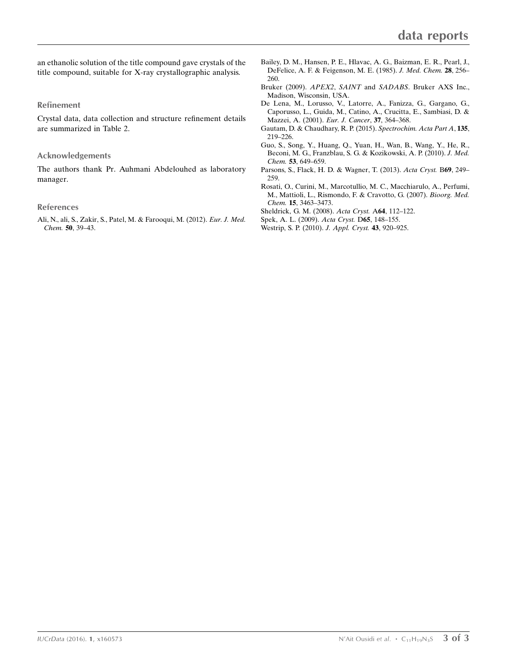an ethanolic solution of the title compound gave crystals of the title compound, suitable for X-ray crystallographic analysis.

#### Refinement

Crystal data, data collection and structure refinement details are summarized in Table 2.

#### Acknowledgements

The authors thank Pr. Auhmani Abdelouhed as laboratory manager.

#### References

[Ali, N., ali, S., Zakir, S., Patel, M. & Farooqui, M. \(2012\).](http://scripts.iucr.org/cgi-bin/cr.cgi?rm=pdfbb&cnor=su4023&bbid=BB1) Eur. J. Med. Chem. 50[, 39–43.](http://scripts.iucr.org/cgi-bin/cr.cgi?rm=pdfbb&cnor=su4023&bbid=BB1)

- [Bailey, D. M., Hansen, P. E., Hlavac, A. G., Baizman, E. R., Pearl, J.,](http://scripts.iucr.org/cgi-bin/cr.cgi?rm=pdfbb&cnor=su4023&bbid=BB3) [DeFelice, A. F. & Feigenson, M. E. \(1985\).](http://scripts.iucr.org/cgi-bin/cr.cgi?rm=pdfbb&cnor=su4023&bbid=BB3) J. Med. Chem. 28, 256– [260.](http://scripts.iucr.org/cgi-bin/cr.cgi?rm=pdfbb&cnor=su4023&bbid=BB3)
- Bruker (2009). APEX2, SAINT and SADABS[. Bruker AXS Inc.,](http://scripts.iucr.org/cgi-bin/cr.cgi?rm=pdfbb&cnor=su4023&bbid=BB3) [Madison, Wisconsin, USA.](http://scripts.iucr.org/cgi-bin/cr.cgi?rm=pdfbb&cnor=su4023&bbid=BB3)
- [De Lena, M., Lorusso, V., Latorre, A., Fanizza, G., Gargano, G.,](http://scripts.iucr.org/cgi-bin/cr.cgi?rm=pdfbb&cnor=su4023&bbid=BB4) [Caporusso, L., Guida, M., Catino, A., Crucitta, E., Sambiasi, D. &](http://scripts.iucr.org/cgi-bin/cr.cgi?rm=pdfbb&cnor=su4023&bbid=BB4) [Mazzei, A. \(2001\).](http://scripts.iucr.org/cgi-bin/cr.cgi?rm=pdfbb&cnor=su4023&bbid=BB4) Eur. J. Cancer, 37, 364–368.
- [Gautam, D. & Chaudhary, R. P. \(2015\).](http://scripts.iucr.org/cgi-bin/cr.cgi?rm=pdfbb&cnor=su4023&bbid=BB5) Spectrochim. Acta Part A, 135, [219–226.](http://scripts.iucr.org/cgi-bin/cr.cgi?rm=pdfbb&cnor=su4023&bbid=BB5)
- [Guo, S., Song, Y., Huang, Q., Yuan, H., Wan, B., Wang, Y., He, R.,](http://scripts.iucr.org/cgi-bin/cr.cgi?rm=pdfbb&cnor=su4023&bbid=BB6) [Beconi, M. G., Franzblau, S. G. & Kozikowski, A. P. \(2010\).](http://scripts.iucr.org/cgi-bin/cr.cgi?rm=pdfbb&cnor=su4023&bbid=BB6) J. Med. Chem. 53[, 649–659.](http://scripts.iucr.org/cgi-bin/cr.cgi?rm=pdfbb&cnor=su4023&bbid=BB6)
- [Parsons, S., Flack, H. D. & Wagner, T. \(2013\).](http://scripts.iucr.org/cgi-bin/cr.cgi?rm=pdfbb&cnor=su4023&bbid=BB7) Acta Cryst. B69, 249– [259.](http://scripts.iucr.org/cgi-bin/cr.cgi?rm=pdfbb&cnor=su4023&bbid=BB7)
- [Rosati, O., Curini, M., Marcotullio, M. C., Macchiarulo, A., Perfumi,](http://scripts.iucr.org/cgi-bin/cr.cgi?rm=pdfbb&cnor=su4023&bbid=BB8) [M., Mattioli, L., Rismondo, F. & Cravotto, G. \(2007\).](http://scripts.iucr.org/cgi-bin/cr.cgi?rm=pdfbb&cnor=su4023&bbid=BB8) Bioorg. Med. Chem. 15[, 3463–3473.](http://scripts.iucr.org/cgi-bin/cr.cgi?rm=pdfbb&cnor=su4023&bbid=BB8)
- [Sheldrick, G. M. \(2008\).](http://scripts.iucr.org/cgi-bin/cr.cgi?rm=pdfbb&cnor=su4023&bbid=BB9) Acta Cryst. A64, 112–122.
- [Spek, A. L. \(2009\).](http://scripts.iucr.org/cgi-bin/cr.cgi?rm=pdfbb&cnor=su4023&bbid=BB10) Acta Cryst. D65, 148–155.
- [Westrip, S. P. \(2010\).](http://scripts.iucr.org/cgi-bin/cr.cgi?rm=pdfbb&cnor=su4023&bbid=BB11) J. Appl. Cryst. 43, 920–925.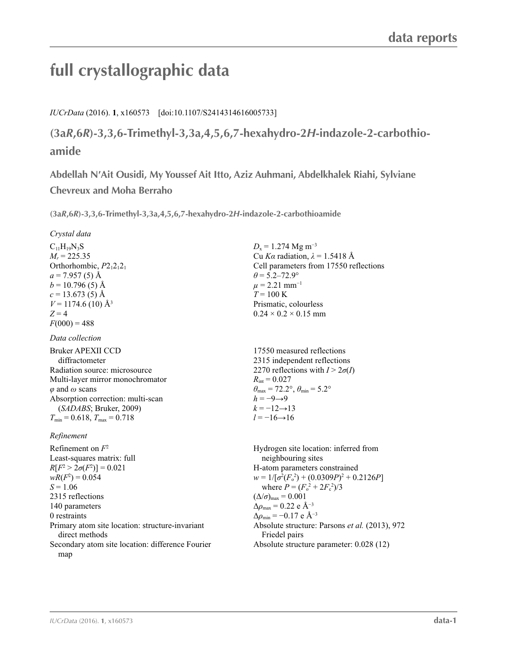# **full crystallographic data**

*IUCrData* (2016). **1**, x160573 [doi:10.1107/S2414314616005733]

**(3a***R***,6***R***)-3,3,6-Trimethyl-3,3a,4,5,6,7-hexahydro-2***H***-indazole-2-carbothioamide**

**Abdellah N′Ait Ousidi, My Youssef Ait Itto, Aziz Auhmani, Abdelkhalek Riahi, Sylviane Chevreux and Moha Berraho**

**(3a***R***,6***R***)-3,3,6-Trimethyl-3,3a,4,5,6,7-hexahydro-2***H***-indazole-2-carbothioamide** 

#### *Crystal data*

 $C_{11}H_{19}N_3S$  $M_r = 225.35$ Orthorhombic,  $P2_12_12_1$  $a = 7.957(5)$  Å  $b = 10.796(5)$  Å  $c = 13.673(5)$  Å  $V = 1174.6$  (10) Å<sup>3</sup>  $Z = 4$  $F(000) = 488$ 

#### *Data collection*

Bruker APEXII CCD diffractometer Radiation source: microsource Multi-layer mirror monochromator *φ* and *ω* scans Absorption correction: multi-scan (*SADABS*; Bruker, 2009)  $T_{\min} = 0.618$ ,  $T_{\max} = 0.718$ 

#### *Refinement*

Refinement on *F*<sup>2</sup> Least-squares matrix: full  $R[F^2 > 2\sigma(F^2)] = 0.021$  $wR(F^2) = 0.054$  $S = 1.06$ 2315 reflections 140 parameters 0 restraints Primary atom site location: structure-invariant direct methods Secondary atom site location: difference Fourier map

 $D_x = 1.274$  Mg m<sup>-3</sup> Cu *Kα* radiation, *λ* = 1.5418 Å Cell parameters from 17550 reflections  $\theta$  = 5.2–72.9°  $\mu$  = 2.21 mm<sup>-1</sup>  $T = 100$  K Prismatic, colourless  $0.24 \times 0.2 \times 0.15$  mm

17550 measured reflections 2315 independent reflections 2270 reflections with  $I > 2\sigma(I)$  $R_{\text{int}} = 0.027$  $\theta_{\text{max}} = 72.2^{\circ}, \theta_{\text{min}} = 5.2^{\circ}$  $h = -9 \rightarrow 9$  $k = -12 \rightarrow 13$ *l* = −16→16

Hydrogen site location: inferred from neighbouring sites H-atom parameters constrained  $w = 1/[\sigma^2 (F_o^2) + (0.0309P)^2 + 0.2126P]$ where  $P = (F_o^2 + 2F_c^2)/3$  $(\Delta/\sigma)_{\text{max}} = 0.001$  $\Delta\rho_{\text{max}} = 0.22$  e Å<sup>-3</sup>  $\Delta \rho_{\rm min} = -0.17$  e Å<sup>-3</sup> Absolute structure: Parsons *et al.* (2013), 972 Friedel pairs Absolute structure parameter: 0.028 (12)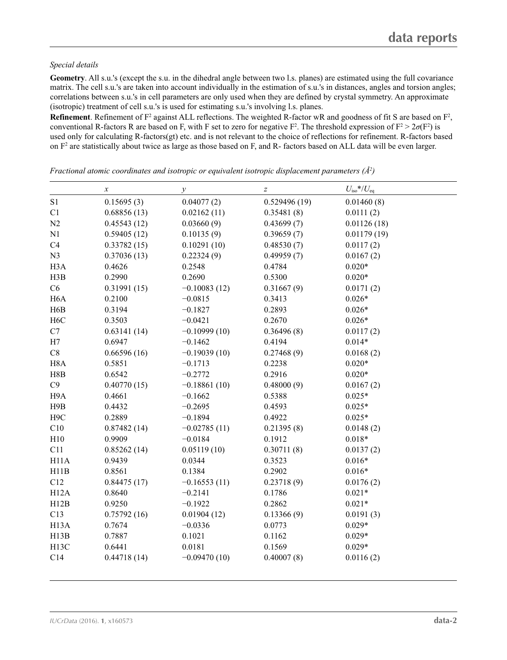#### *Special details*

**Geometry**. All s.u.'s (except the s.u. in the dihedral angle between two l.s. planes) are estimated using the full covariance matrix. The cell s.u.'s are taken into account individually in the estimation of s.u.'s in distances, angles and torsion angles; correlations between s.u.'s in cell parameters are only used when they are defined by crystal symmetry. An approximate (isotropic) treatment of cell s.u.'s is used for estimating s.u.'s involving l.s. planes.

**Refinement**. Refinement of  $F^2$  against ALL reflections. The weighted R-factor wR and goodness of fit S are based on  $F^2$ , conventional R-factors R are based on F, with F set to zero for negative  $F^2$ . The threshold expression of  $F^2 > 2\sigma(F^2)$  is used only for calculating R-factors(gt) etc. and is not relevant to the choice of reflections for refinement. R-factors based on  $F<sup>2</sup>$  are statistically about twice as large as those based on F, and R- factors based on ALL data will be even larger.

|                   | $\boldsymbol{x}$ | $\mathcal{Y}$  | $\boldsymbol{Z}$ | $U_{\rm iso} * / U_{\rm eq}$ |
|-------------------|------------------|----------------|------------------|------------------------------|
| S1                | 0.15695(3)       | 0.04077(2)     | 0.529496(19)     | 0.01460(8)                   |
| C1                | 0.68856(13)      | 0.02162(11)    | 0.35481(8)       | 0.0111(2)                    |
| N <sub>2</sub>    | 0.45543(12)      | 0.03660(9)     | 0.43699(7)       | 0.01126(18)                  |
| N1                | 0.59405(12)      | 0.10135(9)     | 0.39659(7)       | 0.01179(19)                  |
| C4                | 0.33782(15)      | 0.10291(10)    | 0.48530(7)       | 0.0117(2)                    |
| N3                | 0.37036(13)      | 0.22324(9)     | 0.49959(7)       | 0.0167(2)                    |
| H <sub>3</sub> A  | 0.4626           | 0.2548         | 0.4784           | $0.020*$                     |
| H3B               | 0.2990           | 0.2690         | 0.5300           | $0.020*$                     |
| C6                | 0.31991(15)      | $-0.10083(12)$ | 0.31667(9)       | 0.0171(2)                    |
| H <sub>6</sub> A  | 0.2100           | $-0.0815$      | 0.3413           | $0.026*$                     |
| H <sub>6</sub> B  | 0.3194           | $-0.1827$      | 0.2893           | $0.026*$                     |
| H <sub>6</sub> C  | 0.3503           | $-0.0421$      | 0.2670           | $0.026*$                     |
| C7                | 0.63141(14)      | $-0.10999(10)$ | 0.36496(8)       | 0.0117(2)                    |
| H7                | 0.6947           | $-0.1462$      | 0.4194           | $0.014*$                     |
| C8                | 0.66596(16)      | $-0.19039(10)$ | 0.27468(9)       | 0.0168(2)                    |
| H <sub>8</sub> A  | 0.5851           | $-0.1713$      | 0.2238           | $0.020*$                     |
| H8B               | 0.6542           | $-0.2772$      | 0.2916           | $0.020*$                     |
| C9                | 0.40770(15)      | $-0.18861(10)$ | 0.48000(9)       | 0.0167(2)                    |
| H9A               | 0.4661           | $-0.1662$      | 0.5388           | $0.025*$                     |
| H9B               | 0.4432           | $-0.2695$      | 0.4593           | $0.025*$                     |
| H <sub>9</sub> C  | 0.2889           | $-0.1894$      | 0.4922           | $0.025*$                     |
| C10               | 0.87482(14)      | $-0.02785(11)$ | 0.21395(8)       | 0.0148(2)                    |
| H10               | 0.9909           | $-0.0184$      | 0.1912           | $0.018*$                     |
| C11               | 0.85262(14)      | 0.05119(10)    | 0.30711(8)       | 0.0137(2)                    |
| H11A              | 0.9439           | 0.0344         | 0.3523           | $0.016*$                     |
| H11B              | 0.8561           | 0.1384         | 0.2902           | $0.016*$                     |
| C12               | 0.84475(17)      | $-0.16553(11)$ | 0.23718(9)       | 0.0176(2)                    |
| H12A              | 0.8640           | $-0.2141$      | 0.1786           | $0.021*$                     |
| H12B              | 0.9250           | $-0.1922$      | 0.2862           | $0.021*$                     |
| C13               | 0.75792(16)      | 0.01904(12)    | 0.13366(9)       | 0.0191(3)                    |
| H <sub>13</sub> A | 0.7674           | $-0.0336$      | 0.0773           | $0.029*$                     |
| H13B              | 0.7887           | 0.1021         | 0.1162           | $0.029*$                     |
| H <sub>13</sub> C | 0.6441           | 0.0181         | 0.1569           | $0.029*$                     |
| C14               | 0.44718(14)      | $-0.09470(10)$ | 0.40007(8)       | 0.0116(2)                    |

*Fractional atomic coordinates and isotropic or equivalent isotropic displacement parameters (Å2 )*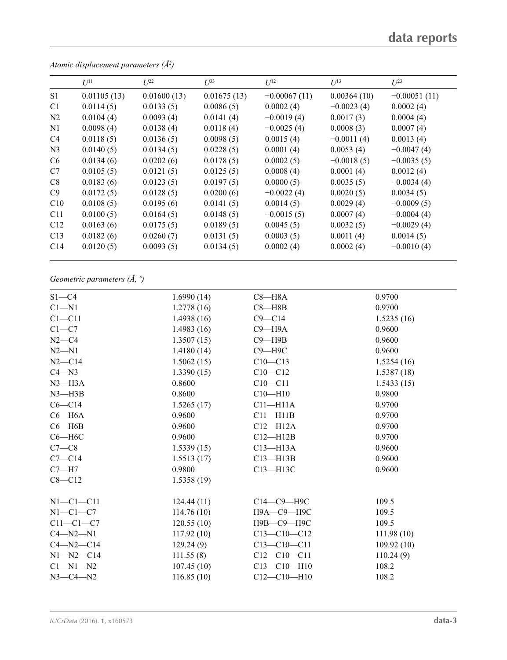|                | $U^{11}$    | $L^{22}$    | $\mathcal{L}^{\beta 3}$ | $U^{12}$       | $U^{13}$     | $U^{23}$       |
|----------------|-------------|-------------|-------------------------|----------------|--------------|----------------|
| S <sub>1</sub> | 0.01105(13) | 0.01600(13) | 0.01675(13)             | $-0.00067(11)$ | 0.00364(10)  | $-0.00051(11)$ |
| C1             | 0.0114(5)   | 0.0133(5)   | 0.0086(5)               | 0.0002(4)      | $-0.0023(4)$ | 0.0002(4)      |
| N <sub>2</sub> | 0.0104(4)   | 0.0093(4)   | 0.0141(4)               | $-0.0019(4)$   | 0.0017(3)    | 0.0004(4)      |
| N1             | 0.0098(4)   | 0.0138(4)   | 0.0118(4)               | $-0.0025(4)$   | 0.0008(3)    | 0.0007(4)      |
| C <sub>4</sub> | 0.0118(5)   | 0.0136(5)   | 0.0098(5)               | 0.0015(4)      | $-0.0011(4)$ | 0.0013(4)      |
| N <sub>3</sub> | 0.0140(5)   | 0.0134(5)   | 0.0228(5)               | 0.0001(4)      | 0.0053(4)    | $-0.0047(4)$   |
| C <sub>6</sub> | 0.0134(6)   | 0.0202(6)   | 0.0178(5)               | 0.0002(5)      | $-0.0018(5)$ | $-0.0035(5)$   |
| C7             | 0.0105(5)   | 0.0121(5)   | 0.0125(5)               | 0.0008(4)      | 0.0001(4)    | 0.0012(4)      |
| C8             | 0.0183(6)   | 0.0123(5)   | 0.0197(5)               | 0.0000(5)      | 0.0035(5)    | $-0.0034(4)$   |
| C9             | 0.0172(5)   | 0.0128(5)   | 0.0200(6)               | $-0.0022(4)$   | 0.0020(5)    | 0.0034(5)      |
| C10            | 0.0108(5)   | 0.0195(6)   | 0.0141(5)               | 0.0014(5)      | 0.0029(4)    | $-0.0009(5)$   |
| C11            | 0.0100(5)   | 0.0164(5)   | 0.0148(5)               | $-0.0015(5)$   | 0.0007(4)    | $-0.0004(4)$   |
| C12            | 0.0163(6)   | 0.0175(5)   | 0.0189(5)               | 0.0045(5)      | 0.0032(5)    | $-0.0029(4)$   |
| C13            | 0.0182(6)   | 0.0260(7)   | 0.0131(5)               | 0.0003(5)      | 0.0011(4)    | 0.0014(5)      |
| C14            | 0.0120(5)   | 0.0093(5)   | 0.0134(5)               | 0.0002(4)      | 0.0002(4)    | $-0.0010(4)$   |
|                |             |             |                         |                |              |                |

*Atomic displacement parameters (Å2 )*

## *Geometric parameters (Å, º)*

| $S1 - C4$       | 1.6990(14) | $C8 - H8A$        | 0.9700     |
|-----------------|------------|-------------------|------------|
| $Cl - N1$       | 1.2778(16) | $C8 - H8B$        | 0.9700     |
| $C1 - C11$      | 1.4938(16) | $C9 - C14$        | 1.5235(16) |
| $C1-C7$         | 1.4983(16) | $C9 - H9A$        | 0.9600     |
| $N2-C4$         | 1.3507(15) | $C9 - H9B$        | 0.9600     |
| $N2 - N1$       | 1.4180(14) | $C9 - H9C$        | 0.9600     |
| $N2-C14$        | 1.5062(15) | $C10 - C13$       | 1.5254(16) |
| $C4 - N3$       | 1.3390(15) | $C10 - C12$       | 1.5387(18) |
| $N3$ —H $3A$    | 0.8600     | $C10 - C11$       | 1.5433(15) |
| $N3$ —H $3B$    | 0.8600     | $C10-H10$         | 0.9800     |
| $C6 - C14$      | 1.5265(17) | $C11 - H11A$      | 0.9700     |
| $C6 - H6A$      | 0.9600     | $C11 - H11B$      | 0.9700     |
| $C6 - H6B$      | 0.9600     | $C12 - H12A$      | 0.9700     |
| $C6 - H6C$      | 0.9600     | $C12 - H12B$      | 0.9700     |
| $C7-C8$         | 1.5339(15) | $C13 - H13A$      | 0.9600     |
| $C7 - C14$      | 1.5513(17) | $C13 - H13B$      | 0.9600     |
| $C7 - H7$       | 0.9800     | $C13 - H13C$      | 0.9600     |
| $C8 - C12$      | 1.5358(19) |                   |            |
| $N1-C1-C11$     | 124.44(11) | С14-С9-Н9С        | 109.5      |
| $N1-C1-C7$      | 114.76(10) | $H9A - C9 - H9C$  | 109.5      |
| $C11-C1-C7$     | 120.55(10) | Н9В-С9-Н9С        | 109.5      |
| $C4 - N2 - N1$  | 117.92(10) | $C13-C10-C12$     | 111.98(10) |
| $C4 - N2 - C14$ | 129.24(9)  | $C13 - C10 - C11$ | 109.92(10) |
| $N1 - N2 - C14$ | 111.55(8)  | $C12-C10-C11$     | 110.24(9)  |
| $C1 - N1 - N2$  | 107.45(10) | $C13 - C10 - H10$ | 108.2      |
| $N3 - C4 - N2$  | 116.85(10) | $C12-C10-H10$     | 108.2      |